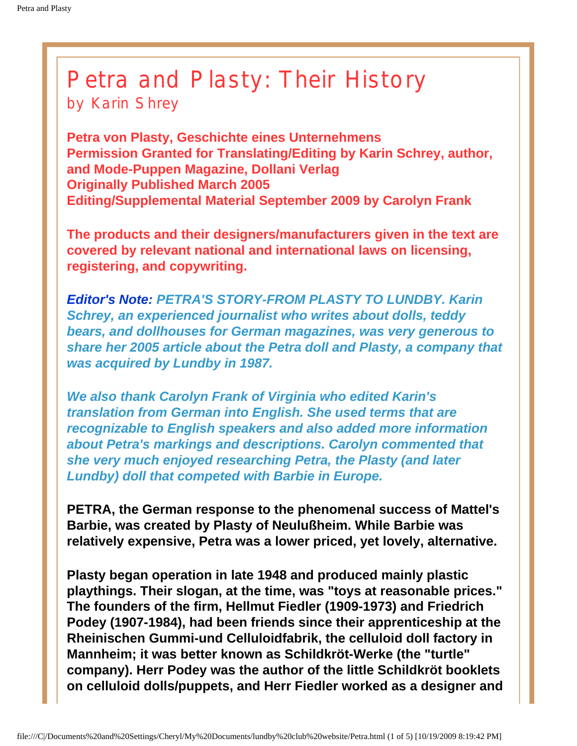## Petra and Plasty: Their History by Karin Shrey

**Petra von Plasty, Geschichte eines Unternehmens Permission Granted for Translating/Editing by Karin Schrey, author, and Mode-Puppen Magazine, Dollani Verlag Originally Published March 2005 Editing/Supplemental Material September 2009 by Carolyn Frank**

**The products and their designers/manufacturers given in the text are covered by relevant national and international laws on licensing, registering, and copywriting.**

*Editor's Note: PETRA'S STORY-FROM PLASTY TO LUNDBY. Karin Schrey, an experienced journalist who writes about dolls, teddy bears, and dollhouses for German magazines, was very generous to share her 2005 article about the Petra doll and Plasty, a company that was acquired by Lundby in 1987.* 

*We also thank Carolyn Frank of Virginia who edited Karin's translation from German into English. She used terms that are recognizable to English speakers and also added more information about Petra's markings and descriptions. Carolyn commented that she very much enjoyed researching Petra, the Plasty (and later Lundby) doll that competed with Barbie in Europe.*

**PETRA, the German response to the phenomenal success of Mattel's Barbie, was created by Plasty of Neulußheim. While Barbie was relatively expensive, Petra was a lower priced, yet lovely, alternative.** 

**Plasty began operation in late 1948 and produced mainly plastic playthings. Their slogan, at the time, was "toys at reasonable prices." The founders of the firm, Hellmut Fiedler (1909-1973) and Friedrich Podey (1907-1984), had been friends since their apprenticeship at the Rheinischen Gummi-und Celluloidfabrik, the celluloid doll factory in Mannheim; it was better known as Schildkröt-Werke (the "turtle" company). Herr Podey was the author of the little Schildkröt booklets on celluloid dolls/puppets, and Herr Fiedler worked as a designer and**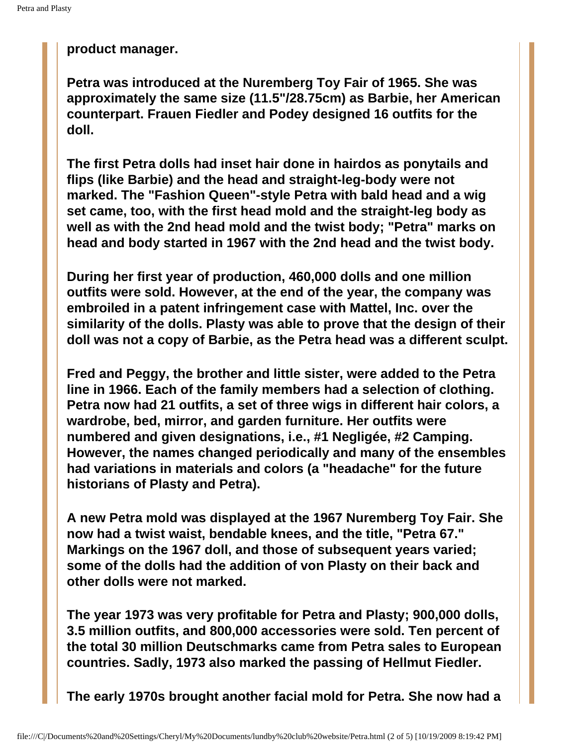#### **product manager.**

**Petra was introduced at the Nuremberg Toy Fair of 1965. She was approximately the same size (11.5"/28.75cm) as Barbie, her American counterpart. Frauen Fiedler and Podey designed 16 outfits for the doll.** 

**The first Petra dolls had inset hair done in hairdos as ponytails and flips (like Barbie) and the head and straight-leg-body were not marked. The "Fashion Queen"-style Petra with bald head and a wig set came, too, with the first head mold and the straight-leg body as well as with the 2nd head mold and the twist body; "Petra" marks on head and body started in 1967 with the 2nd head and the twist body.** 

**During her first year of production, 460,000 dolls and one million outfits were sold. However, at the end of the year, the company was embroiled in a patent infringement case with Mattel, Inc. over the similarity of the dolls. Plasty was able to prove that the design of their doll was not a copy of Barbie, as the Petra head was a different sculpt.** 

**Fred and Peggy, the brother and little sister, were added to the Petra line in 1966. Each of the family members had a selection of clothing. Petra now had 21 outfits, a set of three wigs in different hair colors, a wardrobe, bed, mirror, and garden furniture. Her outfits were numbered and given designations, i.e., #1 Negligée, #2 Camping. However, the names changed periodically and many of the ensembles had variations in materials and colors (a "headache" for the future historians of Plasty and Petra).** 

**A new Petra mold was displayed at the 1967 Nuremberg Toy Fair. She now had a twist waist, bendable knees, and the title, "Petra 67." Markings on the 1967 doll, and those of subsequent years varied; some of the dolls had the addition of von Plasty on their back and other dolls were not marked.** 

**The year 1973 was very profitable for Petra and Plasty; 900,000 dolls, 3.5 million outfits, and 800,000 accessories were sold. Ten percent of the total 30 million Deutschmarks came from Petra sales to European countries. Sadly, 1973 also marked the passing of Hellmut Fiedler.** 

**The early 1970s brought another facial mold for Petra. She now had a**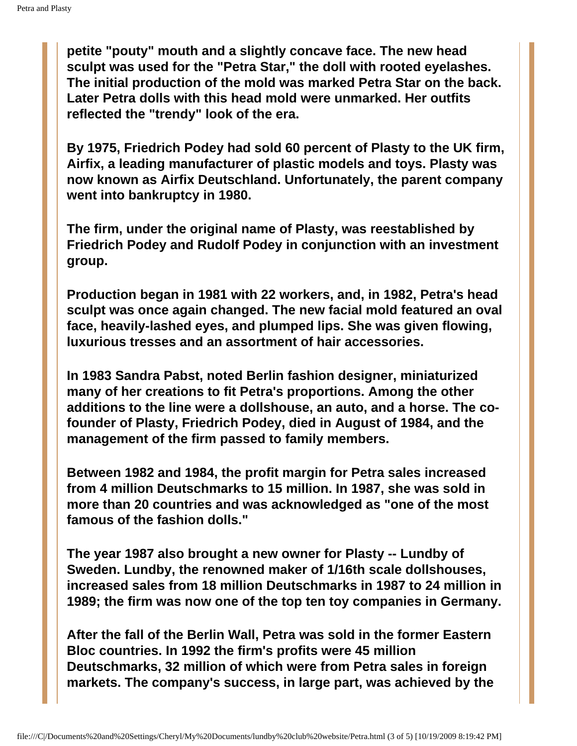**petite "pouty" mouth and a slightly concave face. The new head sculpt was used for the "Petra Star," the doll with rooted eyelashes. The initial production of the mold was marked Petra Star on the back. Later Petra dolls with this head mold were unmarked. Her outfits reflected the "trendy" look of the era.** 

**By 1975, Friedrich Podey had sold 60 percent of Plasty to the UK firm, Airfix, a leading manufacturer of plastic models and toys. Plasty was now known as Airfix Deutschland. Unfortunately, the parent company went into bankruptcy in 1980.** 

**The firm, under the original name of Plasty, was reestablished by Friedrich Podey and Rudolf Podey in conjunction with an investment group.** 

**Production began in 1981 with 22 workers, and, in 1982, Petra's head sculpt was once again changed. The new facial mold featured an oval face, heavily-lashed eyes, and plumped lips. She was given flowing, luxurious tresses and an assortment of hair accessories.** 

**In 1983 Sandra Pabst, noted Berlin fashion designer, miniaturized many of her creations to fit Petra's proportions. Among the other additions to the line were a dollshouse, an auto, and a horse. The cofounder of Plasty, Friedrich Podey, died in August of 1984, and the management of the firm passed to family members.** 

**Between 1982 and 1984, the profit margin for Petra sales increased from 4 million Deutschmarks to 15 million. In 1987, she was sold in more than 20 countries and was acknowledged as "one of the most famous of the fashion dolls."** 

**The year 1987 also brought a new owner for Plasty -- Lundby of Sweden. Lundby, the renowned maker of 1/16th scale dollshouses, increased sales from 18 million Deutschmarks in 1987 to 24 million in 1989; the firm was now one of the top ten toy companies in Germany.** 

**After the fall of the Berlin Wall, Petra was sold in the former Eastern Bloc countries. In 1992 the firm's profits were 45 million Deutschmarks, 32 million of which were from Petra sales in foreign markets. The company's success, in large part, was achieved by the**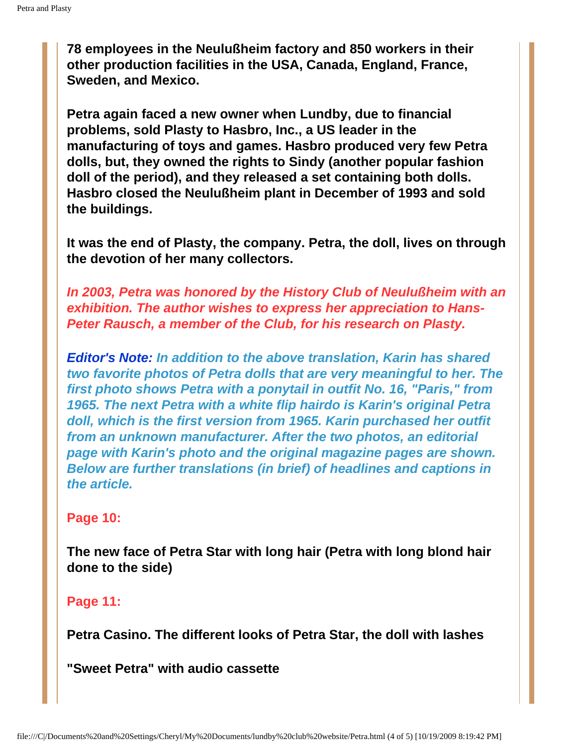**78 employees in the Neulußheim factory and 850 workers in their other production facilities in the USA, Canada, England, France, Sweden, and Mexico.** 

**Petra again faced a new owner when Lundby, due to financial problems, sold Plasty to Hasbro, Inc., a US leader in the manufacturing of toys and games. Hasbro produced very few Petra dolls, but, they owned the rights to Sindy (another popular fashion doll of the period), and they released a set containing both dolls. Hasbro closed the Neulußheim plant in December of 1993 and sold the buildings.** 

**It was the end of Plasty, the company. Petra, the doll, lives on through the devotion of her many collectors.**

*In 2003, Petra was honored by the History Club of Neulußheim with an exhibition. The author wishes to express her appreciation to Hans-Peter Rausch, a member of the Club, for his research on Plasty.* 

*Editor's Note: In addition to the above translation, Karin has shared two favorite photos of Petra dolls that are very meaningful to her. The first photo shows Petra with a ponytail in outfit No. 16, "Paris," from 1965. The next Petra with a white flip hairdo is Karin's original Petra doll, which is the first version from 1965. Karin purchased her outfit from an unknown manufacturer. After the two photos, an editorial page with Karin's photo and the original magazine pages are shown. Below are further translations (in brief) of headlines and captions in the article.*

#### **Page 10:**

**The new face of Petra Star with long hair (Petra with long blond hair done to the side)**

**Page 11:**

**Petra Casino. The different looks of Petra Star, the doll with lashes**

**"Sweet Petra" with audio cassette**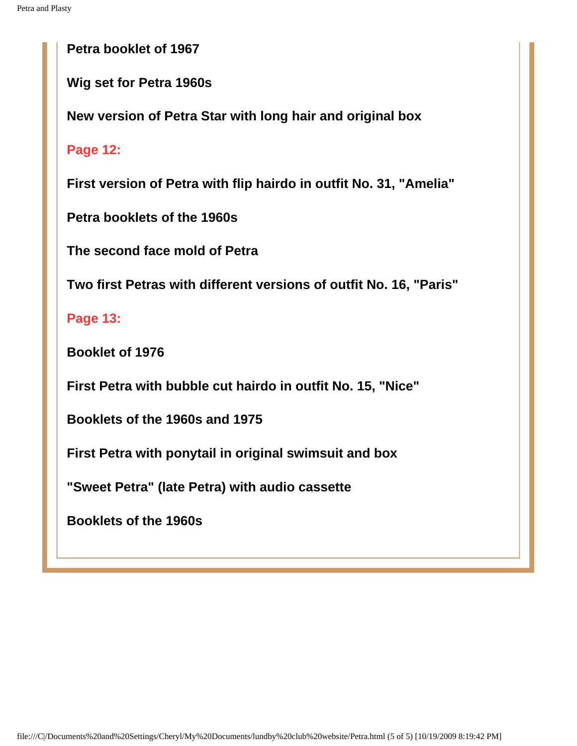**Petra booklet of 1967 Wig set for Petra 1960s New version of Petra Star with long hair and original box Page 12: First version of Petra with flip hairdo in outfit No. 31, "Amelia" Petra booklets of the 1960s The second face mold of Petra Two first Petras with different versions of outfit No. 16, "Paris" Page 13: Booklet of 1976 First Petra with bubble cut hairdo in outfit No. 15, "Nice" Booklets of the 1960s and 1975 First Petra with ponytail in original swimsuit and box "Sweet Petra" (late Petra) with audio cassette Booklets of the 1960s**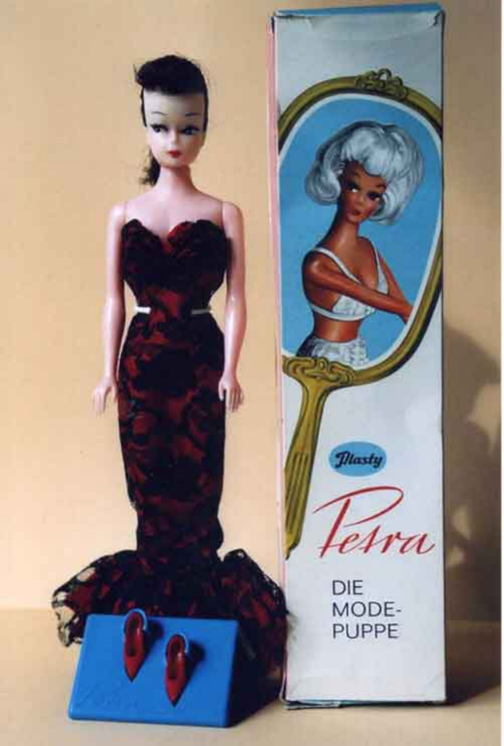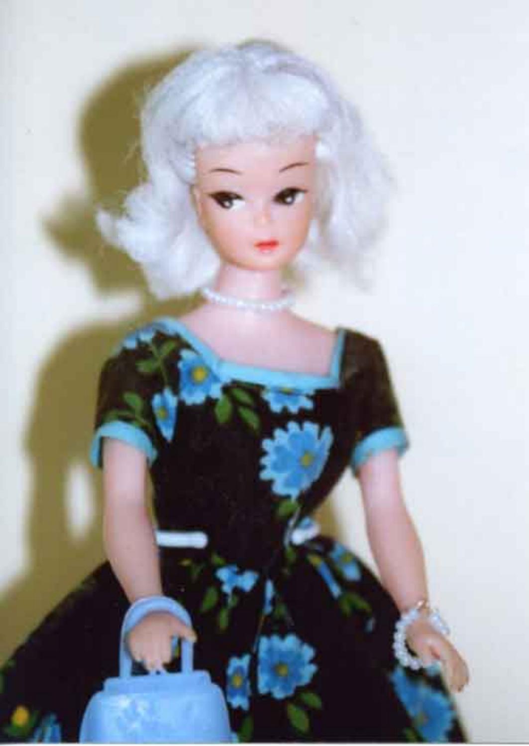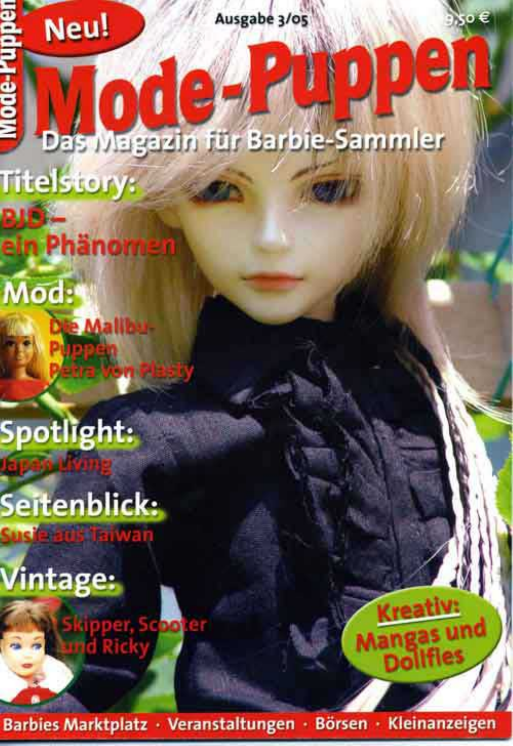Ausgabe 3/05

 $\circ \in$ 

Das Magazin für Barbie-Sammler

Titelstory:

Neu!

n Phänomen Mod: Ma

Spotlight:

Seitenblick:

Vintage:

**B** 

Barbies Marktplatz · Veranstaltungen · Börsen · Kleinanzeigen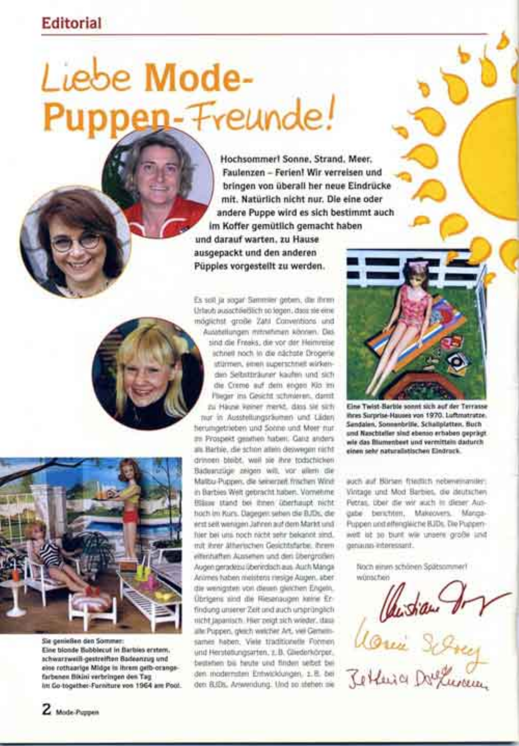### Editorial

# Liebe Modeppen-Freunde!

Hochsommer! Sonne, Strand, Meer, Faulenzen - Ferien! Wir verreisen und bringen von überall her neue Eindrücke mit. Natürlich nicht nur. Die eine oder andere Puppe wird es sich bestimmt auch im Koffer gemütlich gemacht haben und darauf warten, zu Hause ausgepackt und den anderen Püpples vorgestellt zu werden.





Sie genießen den Sommer: Eine blonde Bubblecut in Barbles erstem, schwarzweiß-gestreiften Badeanzug und eine rothaarige Midge is ihrem gelb-orangefarbenen Bikini verbringen den Tag Im Go-together-Furniture von 1964 am Poul. Es soit ja sogar Sammler gebin, dar ihrmi-Urlaub ausschäedlich so legen, dass sie eine möglichst große Zahl Conventions und Ausstellungen mitnehmen können. Das sind die Freeks, die vor der Heimreise schnett noch in die nächste Drogerie stürmen, einen auperschneit wirkenden Selbsttinäuner kaufen und sich die Creme auf dem engen Klo im Plager ins Gesicht schmieren, damit zu Häuse keiner merkt, dass sie sich nur in Ausstellungsräumen und Läden herumgetrieben und Sohne und Meer nur In Prospekt geather haber). Gaist anders als Barbie, die schon alleh deswegen nicht drinoen bloibt, well sie ihn todschicken Badusrutige zeigen will, vor allem die Mattou-Puppers, dile seinerzeit frischen Wind: in Barbies Welt gebracht haben. Vornehme Illiane stand bei ihnen überhaupt nicht. hoch im Kurs. Dagegen sehen die BJDs. die iterat sellt werkigen Jahren auf dem Marint und filer bei una noch nicht sehr bekannt aind. mit ihrer Afherischen Gesichthärbe, ihrem eitenhaften Aussehen und den übergroßen Augen geradezu überirdisch aus Auch Mänga Acimes haben meisters riesige Augen, aber die wenigstet: von dieuen gleichen Engeln. Übrigens sind die Riesensugen keine fürfindung unserer Zeit und auch ursprünglichricht Japanisch. Hier zeigt sich wieder, dass alte Puppen, gleich welcher Art, viel Gemeinsames haben. Viele traditionelle Formen und Herstellungsarten, z. B. Gliederkörper, bestehen bis heute und finden seibet bei den modernsten Entwicklungen, z. B. bei den B.Ds. Arwandung. Und so stehen sie



Eine Twist-Barble sonnt sich auf der Terrasse ihres Sarprise-Hauses von 1970. Luftmatratze. Sandalen, Sonnenbritle, Schallplatten, Buch und Naschteller sind ebenio erhaben geprägt. wie das Blumenbeet und vermittein dadurch einen sehr naturalistischen Eindruck.

auch auf Börten ftredich nebeveinander: Vintage und Mod Barbiet, die deutschen Petras, Ober die wir auch in dieser Ausgabe benchten, Makeovers, Manga-Puppen und effengleiche BJDs. Die Puppenwet ut so bunt will unsern große und geniums interessint.

Noch eines schönen Spätsommer! wünschen

Claria Song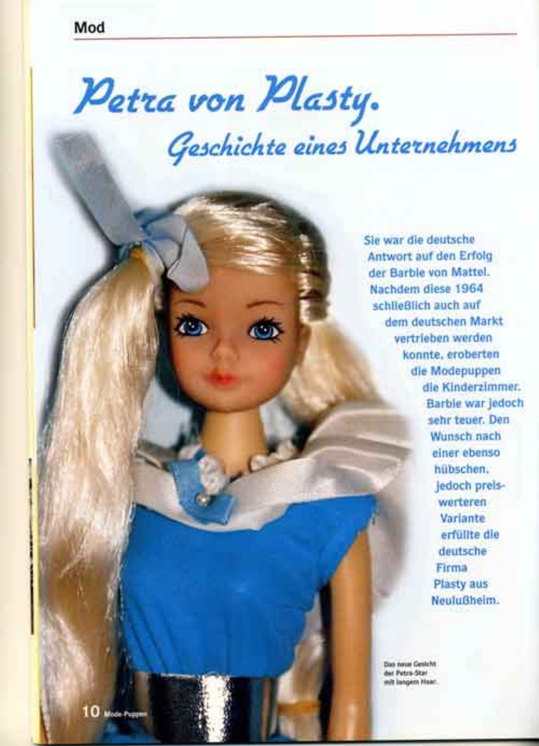# Petra von Plasty. Geschichte eines Unternehmens

Sie war die deutsche Antwort auf den Erfolg der Barbie von Mattel. Nachdem diese 1964 schließlich auch auf dem deutschen Markt vertrieben werden konnte, eroberten die Modepuppen die Kinderzimmer. Barble war jedoch sehr teuer. Den Wunsch nach einer ebenso hübschen. jedoch preiswerteren Variante erfüllte die deutsche Firma **Plasty aus** Neulußhelm.

> Das neue Geslcht der Petra-Star mit langem Hear.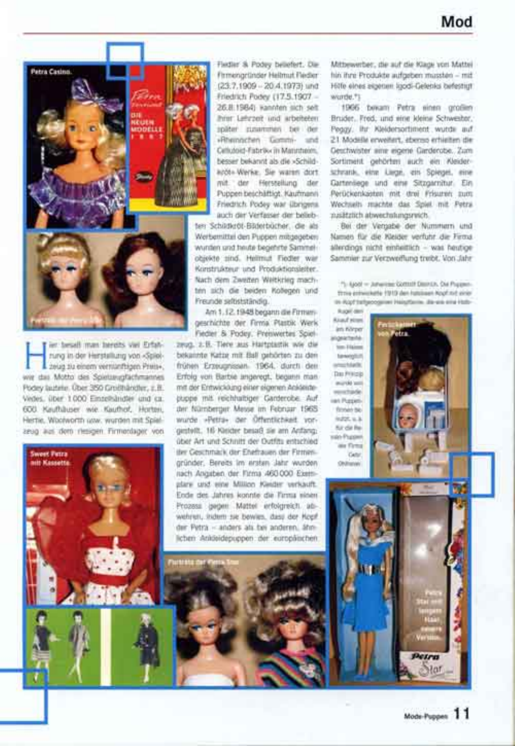

ier besalt man bereits viel Erfahrung in der Herstellung von «Spielzeug zu einem vernünftigen Preis». wie das Motto des Spielzeugfächmannes Podey lauteler. Über 350 Großhändler, z.B. Vedes, über 1,000 Einzelsändler und ca. 600. Kaufhäuser wie Kaufhof, Horten, Hertie, Woolworth usw. wurden mit Spielzeug aus dem riesigen Firmenlager von



Fiedler & Podey beliefert, Die Firmengründer Heltmut Fledler (23:7.1909 - 20.4.1973) und Friedrich Podey (17.5.1907 -26.8 1984) Hannten sich seit Ihrer Lahrzeit und arbeiteten spiter cusammen be der «Rhemochen Gommund. Celluloid-Fabrik-Th Mannheim, besser bekannt als die »Schildacot» Werke. Sie waren dort mit der Fferstellung der Puppen beschäftigt. Kaufmann Friedrich Podey war Ubrigens. auch der Verfasser der belieb-

ten Schüdleröt-Bilderbücher, die als Werbemittel den Puppen mitgegeben wunden und heute begehrte Sammelobjekte zind. Helmut Fiedler war Konstrukteur und Produktionsleiter. Nach dem Zweiten Weltkrieg machten sich die beiden Roßegen und Freunde seltistständig.

Am 1.12.1948 begann die Firmangeschichte der Firma Plastik Werk Fiedler & Podey, Preswertes Spielzeug, z.B.-Tiere aus Hartplastik wie die bekannte Katze mit Ball gehörten zu den frühen Erzeugnissen. 1964, durch den Erfolg von Barbie angeregt, begann man mit der Eritwickkung einer eigenen Ankleidepuppe mit reichhaltiger Ganterobe. Auf der Nürnberger Messe im Februar 1965 wurde »Petra» der Öffentlichkeit vorgestellt. 16 Neider besaß sie am Anfangüber Art und Schnitt der Outfits entschied iler Geschmack der Ehefrauen der Firmengründer. Bereits im ersten Jahr wurden rach Angirben der Firma 460 000 Exemplane und eine Million Kleider verkauft. Ende des Jahres konnte die Firma einen Prozess gegen Mattel erfolgreich abwehren, Indem sie bewies, dass der Kopf der Petra - anders als twi anderen. Shelichen Ankösidepuppen der europäischen.

Mittewerber, die auf die Klage von Mattel hin ihre Produkte aufgeben mussten - mit Hitle eines eigenen laodi-Gelenks befestigt wurde.\*1

1966 bekam Petra einen großen Bruder, Fred. und eine kleine Schwesber, Peggy, ihr Kleidersortiment wurde auf. 21 Modella envellert, abenso erhielten die Deschwister aime eigene Garderobe. Zum Sortiment gehörhm auch ein Kleiderschrank, eine Liege, ein Spiegel, eine Carteniege und eine Sitzgernitur. Ein Perückenkasten mit drei Prisuren zum Wechseln machte das Spiel mit Petra wasatztich atwechslungsreich.

Bei der Vergabe der Nummern und Names für die Kleider verfuhr die Firma. allerdings nicht einheitlich - was heutige Sammler zur Verzweiflung treibt. Von Jahr

1) 6pol - Junerea Cottoll Dentri, Oa Pupperthree entwickerty 1919 den hatchisen Nogh tot sinks to Ap/ teleprogram Heightein, de un ein Hab-August days

ētra.

Krauf street let Kiron ingeletterfø. tion Edgineer teworth projectable for Day Printerio mirks were worchipde ian Pussian firsten bio leater, u. a. für die Rean-Prageri aix firms Cett Oldisown



exra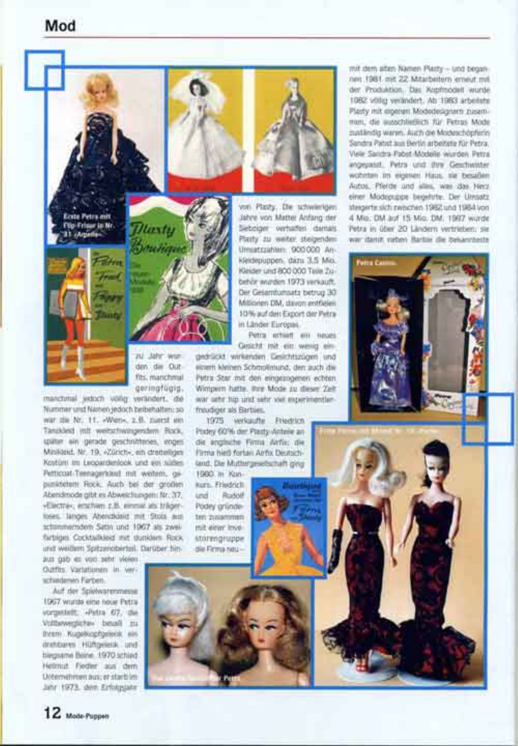### Mod

**Ceste Petra mit** Fig. Frigar in Mr. -Ami

> zu Jahr wurden die Outfits, manchmal geringfügls.

manchmal jedoch vollig verändert, die Nummer und Namen jedoch beihehalten: po war zie Nr. 11, «Wen», z.fl. zuerst ein Tanzkled mit weitschwingendem Bock, spilter ain gerade geschrifttenes, enges Minildoid, Nr. 19, «Zürich», ein dreiteiliges Kastüni im Leopardenlook und ein südes Petticoat-Teenageridost mit weitern, gepunktetem Rock. Auch bei der großen Abenidmode gibt es Abweichungen: Nr. 37, »Electra»; ecschien z.B. einmat als trägerloses. langes Abendidaid mit Stola aus schimmerndern Satin und 1967 als zweifarbiges. Cocktailkleid mit durkben. Rock. und weißem Spitzenobieteil. Darüber hin-

pus gab ex voo sehr vielen. Outfits Variationen in verschadenen Farben.

Auf der Spielwarenmesse. 1967 wurde eine noue Petra stripstistic. Patra 67, the Voltbewegliche» besalt zu threm Kugelkopfgelerik ein drehtures Hüftgeleitk und biegrame Beine. 1970 schled Hetmut Fjedler aus dem Uoternehroen aus; er starbim Jahr 1973, den Erfolgslate





von Plasty, Die schwimigen Jahre von Matter Anfang der Siebziger verhalfen damals Plasty zu weiter steigendem Umsatzzahlen: 900.000 Ankleidepuppen, dazu 3.5 Mio. Kleider und 800 000 Taile Zubehör wurden 1973 verkauft. Der Gesamtumsatz betrug 30 Mittionen DM, davon entflelen 10% auf den Export der Petra in Länder Europas.

Petra ertieff ein neues Gescht mit ein wenig ein-

gedrückt wirkenden Gesichtszügen und einem kleinen Schmolintund, den auch die Petra Star mit den eingezogenen echten Wimpern hatte. Ihre Mode zu dieser Zeit war sehr hip und sehr viel experimentianfroudiger als Barties.

1975 verkuufte Friedrich Podey 60% der Plasty-Anteile an die angloche Firma Airfix: die Firma hieß fortall Airfix Deutschland. Die Muttergesebuhaft ging

1980. In: Kankurn. Friedrich und. Rusself Podey grunde ten zusammen mit einer Investarengtuppe die Fichse nou-

mit dem alten Namen Plasty - und begannen 1981 mit 22 Mitarbeitern erneut mit der Produktion. Das Kopfmodelt wurde 1982 volig verändert. Ab 1983 arbeitete Plasty mit eigenen Modedesignern zusamman; die ausschließlich für Fetras Mode zuständig waren. Auch die Modeschöpferin-Sandra Patrot aux Berlin arbeitete für Petra. Viele Sandra-Pabet-Modelle wurden Petra angepated. Petra und thre Geschwister wobsten im eigenen Haus, sie besaßen Autos, Pferde und alles, was das Nerz einer Modepuppe begehrte. Der Umsatz steigerte sich zwischen 1982 und 1984 von 4 Mio. DM auf 15 Mio. DM. 1987 wurde Petra in über 20 Ländern vertrieben; sie war damit miten Barton die bekannteste